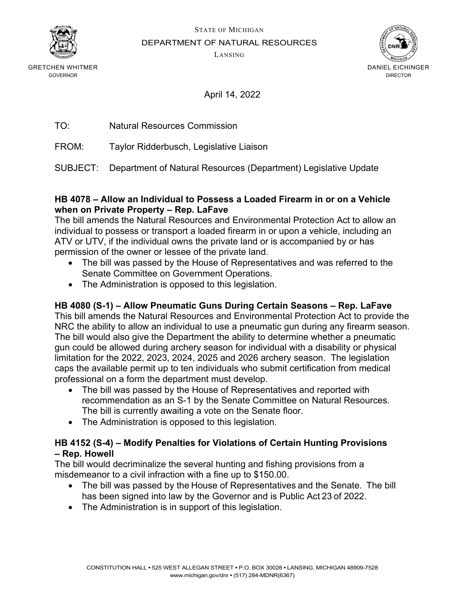

GRETCHEN WHITMER

STATE OF MICHIGAN

DEPARTMENT OF NATURAL RESOURCES

LANSING



GOVERNOR

April 14, 2022

| TO: | <b>Natural Resources Commission</b> |  |
|-----|-------------------------------------|--|
|     |                                     |  |

FROM: Taylor Ridderbusch, Legislative Liaison

SUBJECT: Department of Natural Resources (Department) Legislative Update

#### **HB 4078 – Allow an Individual to Possess a Loaded Firearm in or on a Vehicle when on Private Property – Rep. LaFave**

The bill amends the Natural Resources and Environmental Protection Act to allow an individual to possess or transport a loaded firearm in or upon a vehicle, including an ATV or UTV, if the individual owns the private land or is accompanied by or has permission of the owner or lessee of the private land.

- The bill was passed by the House of Representatives and was referred to the Senate Committee on Government Operations.
- The Administration is opposed to this legislation.

# **HB 4080 (S-1) – Allow Pneumatic Guns During Certain Seasons – Rep. LaFave**

This bill amends the Natural Resources and Environmental Protection Act to provide the NRC the ability to allow an individual to use a pneumatic gun during any firearm season. The bill would also give the Department the ability to determine whether a pneumatic gun could be allowed during archery season for individual with a disability or physical limitation for the 2022, 2023, 2024, 2025 and 2026 archery season. The legislation caps the available permit up to ten individuals who submit certification from medical professional on a form the department must develop.

- The bill was passed by the House of Representatives and reported with recommendation as an S-1 by the Senate Committee on Natural Resources. The bill is currently awaiting a vote on the Senate floor.
- The Administration is opposed to this legislation.

# **HB 4152 (S-4) – Modify Penalties for Violations of Certain Hunting Provisions – Rep. Howell**

The bill would decriminalize the several hunting and fishing provisions from a misdemeanor to a civil infraction with a fine up to \$150.00.

- The bill was passed by the House of Representatives and the Senate.  The bill has been signed into law by the Governor and is Public Act 23 of 2022.
- The Administration is in support of this legislation.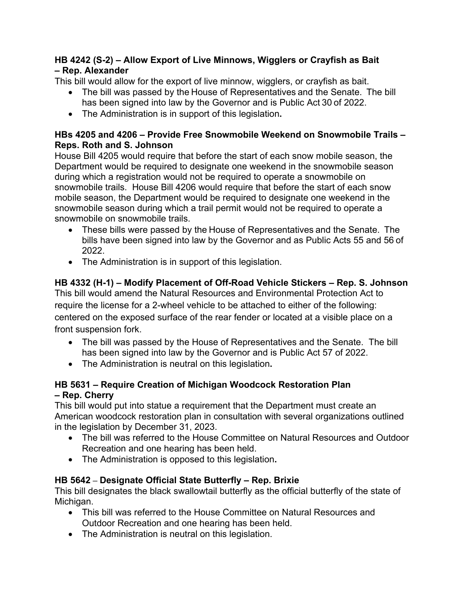# **HB 4242 (S-2) – Allow Export of Live Minnows, Wigglers or Crayfish as Bait – Rep. Alexander**

This bill would allow for the export of live minnow, wigglers, or crayfish as bait.

- The bill was passed by the House of Representatives and the Senate.  The bill has been signed into law by the Governor and is Public Act 30 of 2022.
- The Administration is in support of this legislation**.**

### **HBs 4205 and 4206 – Provide Free Snowmobile Weekend on Snowmobile Trails – Reps. Roth and S. Johnson**

House Bill 4205 would require that before the start of each snow mobile season, the Department would be required to designate one weekend in the snowmobile season during which a registration would not be required to operate a snowmobile on snowmobile trails. House Bill 4206 would require that before the start of each snow mobile season, the Department would be required to designate one weekend in the snowmobile season during which a trail permit would not be required to operate a snowmobile on snowmobile trails.

- These bills were passed by the House of Representatives and the Senate.  The bills have been signed into law by the Governor and as Public Acts 55 and 56 of 2022.
- The Administration is in support of this legislation.

# **HB 4332 (H-1) – Modify Placement of Off-Road Vehicle Stickers – Rep. S. Johnson**

This bill would amend the Natural Resources and Environmental Protection Act to require the license for a 2-wheel vehicle to be attached to either of the following: centered on the exposed surface of the rear fender or located at a visible place on a front suspension fork.

- The bill was passed by the House of Representatives and the Senate. The bill has been signed into law by the Governor and is Public Act 57 of 2022.
- The Administration is neutral on this legislation**.**

# **HB 5631 – Require Creation of Michigan Woodcock Restoration Plan – Rep. Cherry**

This bill would put into statue a requirement that the Department must create an American woodcock restoration plan in consultation with several organizations outlined in the legislation by December 31, 2023.

- The bill was referred to the House Committee on Natural Resources and Outdoor Recreation and one hearing has been held.
- The Administration is opposed to this legislation**.**

# **HB 5642 – Designate Official State Butterfly – Rep. Brixie**

This bill designates the black swallowtail butterfly as the official butterfly of the state of Michigan.

- This bill was referred to the House Committee on Natural Resources and Outdoor Recreation and one hearing has been held.
- The Administration is neutral on this legislation.